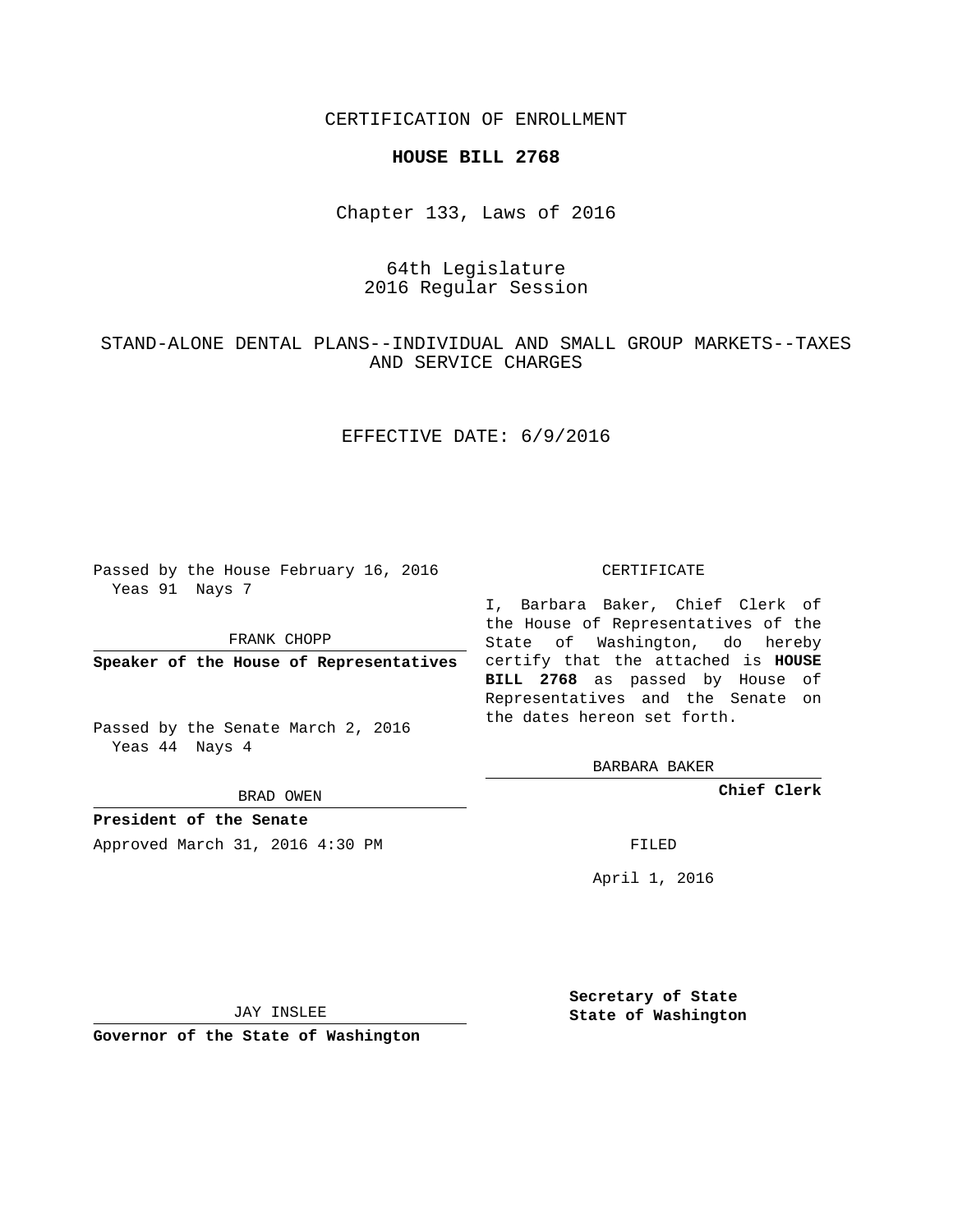CERTIFICATION OF ENROLLMENT

#### **HOUSE BILL 2768**

Chapter 133, Laws of 2016

# 64th Legislature 2016 Regular Session

## STAND-ALONE DENTAL PLANS--INDIVIDUAL AND SMALL GROUP MARKETS--TAXES AND SERVICE CHARGES

## EFFECTIVE DATE: 6/9/2016

Passed by the House February 16, 2016 Yeas 91 Nays 7

FRANK CHOPP

Passed by the Senate March 2, 2016 Yeas 44 Nays 4

BRAD OWEN

**President of the Senate**

Approved March 31, 2016 4:30 PM FILED

#### CERTIFICATE

**Speaker of the House of Representatives** certify that the attached is **HOUSE** I, Barbara Baker, Chief Clerk of the House of Representatives of the State of Washington, do hereby **BILL 2768** as passed by House of Representatives and the Senate on the dates hereon set forth.

BARBARA BAKER

**Chief Clerk**

April 1, 2016

JAY INSLEE

**Governor of the State of Washington**

**Secretary of State State of Washington**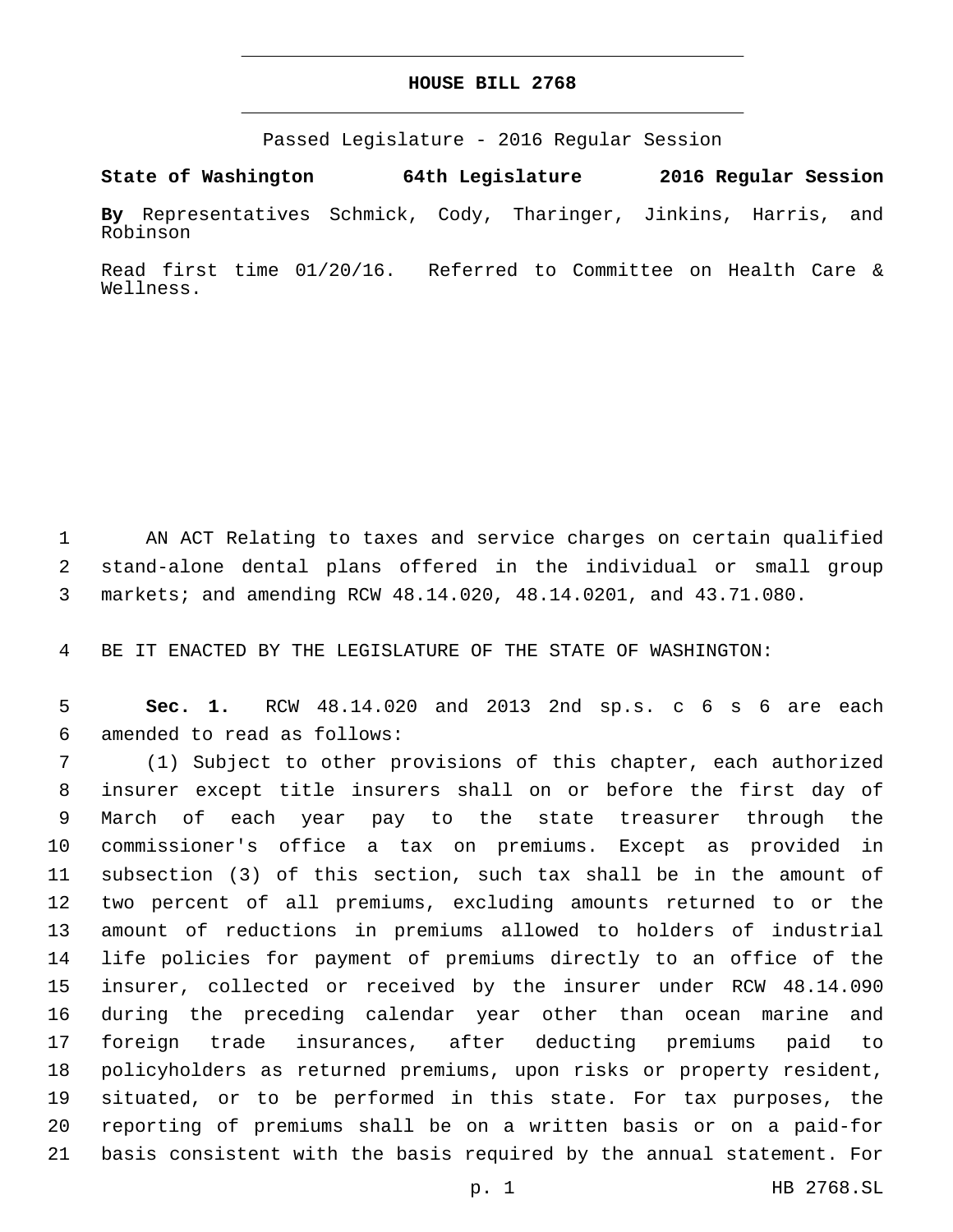#### **HOUSE BILL 2768**

Passed Legislature - 2016 Regular Session

**State of Washington 64th Legislature 2016 Regular Session**

**By** Representatives Schmick, Cody, Tharinger, Jinkins, Harris, and Robinson

Read first time 01/20/16. Referred to Committee on Health Care & Wellness.

 AN ACT Relating to taxes and service charges on certain qualified stand-alone dental plans offered in the individual or small group markets; and amending RCW 48.14.020, 48.14.0201, and 43.71.080.

BE IT ENACTED BY THE LEGISLATURE OF THE STATE OF WASHINGTON:

 **Sec. 1.** RCW 48.14.020 and 2013 2nd sp.s. c 6 s 6 are each amended to read as follows:6

 (1) Subject to other provisions of this chapter, each authorized insurer except title insurers shall on or before the first day of March of each year pay to the state treasurer through the commissioner's office a tax on premiums. Except as provided in subsection (3) of this section, such tax shall be in the amount of two percent of all premiums, excluding amounts returned to or the amount of reductions in premiums allowed to holders of industrial life policies for payment of premiums directly to an office of the insurer, collected or received by the insurer under RCW 48.14.090 during the preceding calendar year other than ocean marine and foreign trade insurances, after deducting premiums paid to policyholders as returned premiums, upon risks or property resident, situated, or to be performed in this state. For tax purposes, the reporting of premiums shall be on a written basis or on a paid-for basis consistent with the basis required by the annual statement. For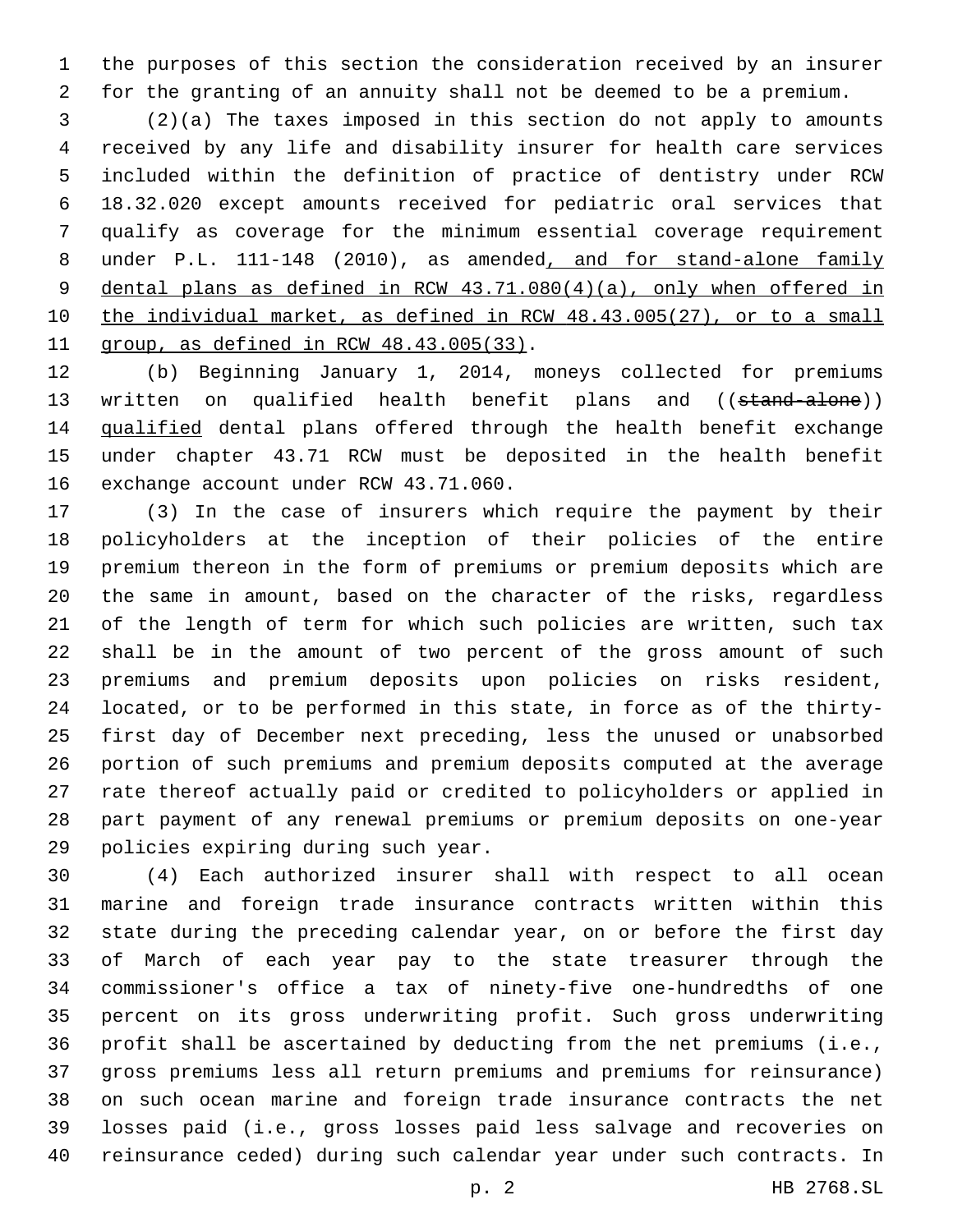the purposes of this section the consideration received by an insurer for the granting of an annuity shall not be deemed to be a premium.

 (2)(a) The taxes imposed in this section do not apply to amounts received by any life and disability insurer for health care services included within the definition of practice of dentistry under RCW 18.32.020 except amounts received for pediatric oral services that qualify as coverage for the minimum essential coverage requirement under P.L. 111-148 (2010), as amended, and for stand-alone family dental plans as defined in RCW 43.71.080(4)(a), only when offered in the individual market, as defined in RCW 48.43.005(27), or to a small  $qroup, as defined in RCW 48.43.005(33)$ .

 (b) Beginning January 1, 2014, moneys collected for premiums 13 written on qualified health benefit plans and ((stand-alone)) qualified dental plans offered through the health benefit exchange under chapter 43.71 RCW must be deposited in the health benefit 16 exchange account under RCW 43.71.060.

 (3) In the case of insurers which require the payment by their policyholders at the inception of their policies of the entire premium thereon in the form of premiums or premium deposits which are the same in amount, based on the character of the risks, regardless of the length of term for which such policies are written, such tax shall be in the amount of two percent of the gross amount of such premiums and premium deposits upon policies on risks resident, located, or to be performed in this state, in force as of the thirty- first day of December next preceding, less the unused or unabsorbed portion of such premiums and premium deposits computed at the average rate thereof actually paid or credited to policyholders or applied in part payment of any renewal premiums or premium deposits on one-year 29 policies expiring during such year.

 (4) Each authorized insurer shall with respect to all ocean marine and foreign trade insurance contracts written within this state during the preceding calendar year, on or before the first day of March of each year pay to the state treasurer through the commissioner's office a tax of ninety-five one-hundredths of one percent on its gross underwriting profit. Such gross underwriting profit shall be ascertained by deducting from the net premiums (i.e., gross premiums less all return premiums and premiums for reinsurance) on such ocean marine and foreign trade insurance contracts the net losses paid (i.e., gross losses paid less salvage and recoveries on reinsurance ceded) during such calendar year under such contracts. In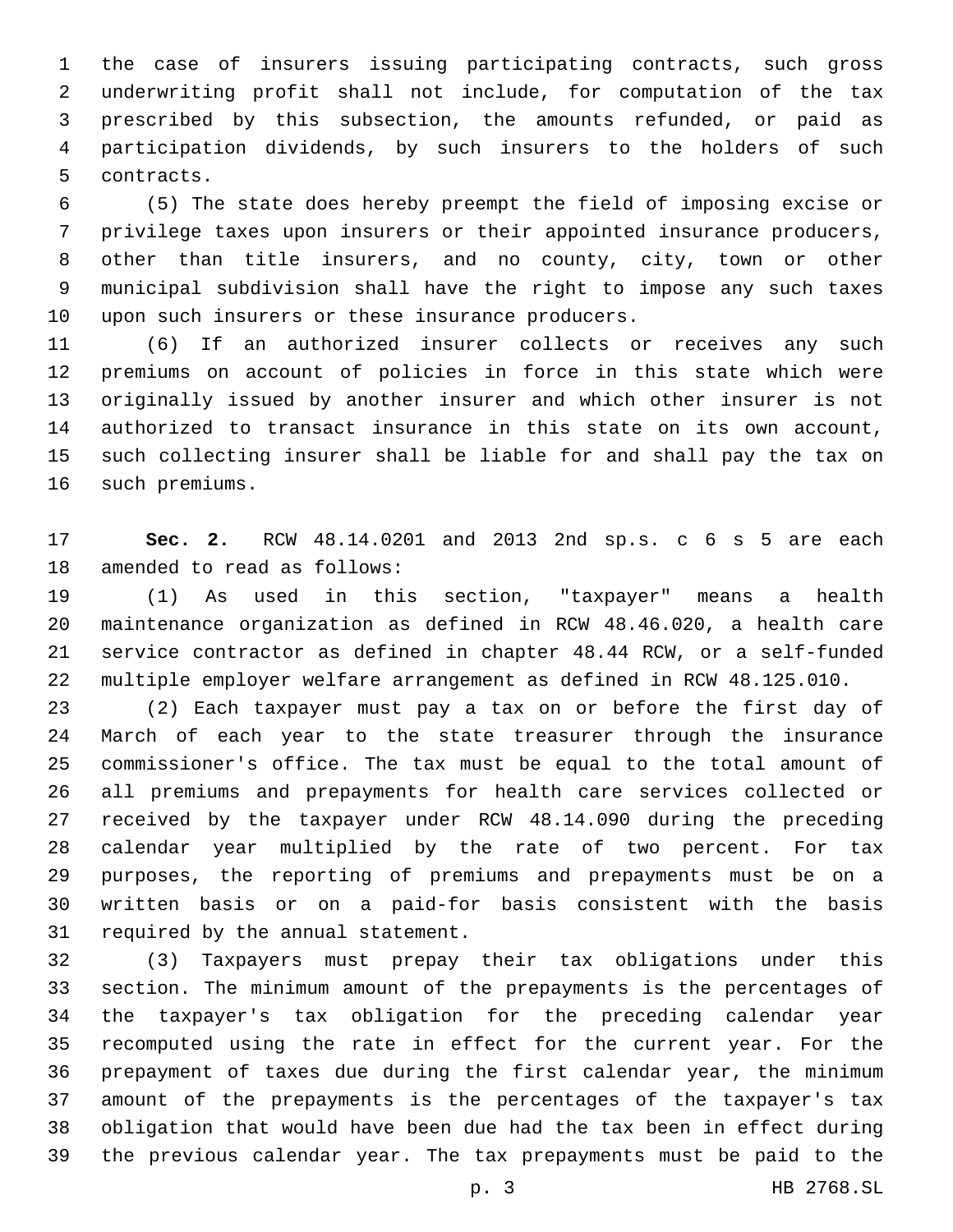the case of insurers issuing participating contracts, such gross underwriting profit shall not include, for computation of the tax prescribed by this subsection, the amounts refunded, or paid as participation dividends, by such insurers to the holders of such 5 contracts.

 (5) The state does hereby preempt the field of imposing excise or privilege taxes upon insurers or their appointed insurance producers, other than title insurers, and no county, city, town or other municipal subdivision shall have the right to impose any such taxes 10 upon such insurers or these insurance producers.

 (6) If an authorized insurer collects or receives any such premiums on account of policies in force in this state which were originally issued by another insurer and which other insurer is not authorized to transact insurance in this state on its own account, such collecting insurer shall be liable for and shall pay the tax on 16 such premiums.

 **Sec. 2.** RCW 48.14.0201 and 2013 2nd sp.s. c 6 s 5 are each 18 amended to read as follows:

 (1) As used in this section, "taxpayer" means a health maintenance organization as defined in RCW 48.46.020, a health care service contractor as defined in chapter 48.44 RCW, or a self-funded multiple employer welfare arrangement as defined in RCW 48.125.010.

 (2) Each taxpayer must pay a tax on or before the first day of March of each year to the state treasurer through the insurance commissioner's office. The tax must be equal to the total amount of all premiums and prepayments for health care services collected or received by the taxpayer under RCW 48.14.090 during the preceding calendar year multiplied by the rate of two percent. For tax purposes, the reporting of premiums and prepayments must be on a written basis or on a paid-for basis consistent with the basis 31 required by the annual statement.

 (3) Taxpayers must prepay their tax obligations under this section. The minimum amount of the prepayments is the percentages of the taxpayer's tax obligation for the preceding calendar year recomputed using the rate in effect for the current year. For the prepayment of taxes due during the first calendar year, the minimum amount of the prepayments is the percentages of the taxpayer's tax obligation that would have been due had the tax been in effect during the previous calendar year. The tax prepayments must be paid to the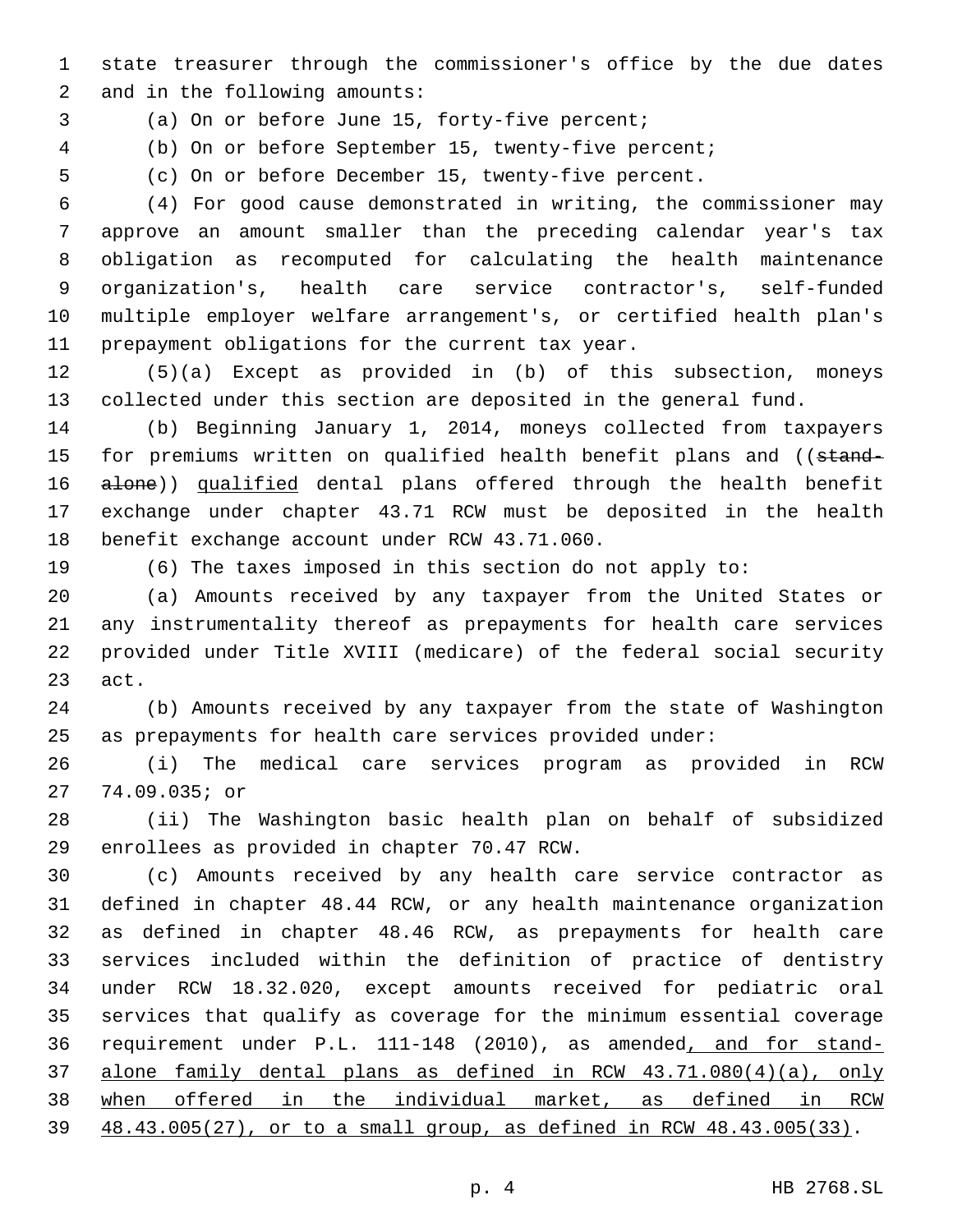state treasurer through the commissioner's office by the due dates 2 and in the following amounts:

3 (a) On or before June 15, forty-five percent;

(b) On or before September 15, twenty-five percent;

(c) On or before December 15, twenty-five percent.

 (4) For good cause demonstrated in writing, the commissioner may approve an amount smaller than the preceding calendar year's tax obligation as recomputed for calculating the health maintenance organization's, health care service contractor's, self-funded multiple employer welfare arrangement's, or certified health plan's 11 prepayment obligations for the current tax year.

 (5)(a) Except as provided in (b) of this subsection, moneys collected under this section are deposited in the general fund.

 (b) Beginning January 1, 2014, moneys collected from taxpayers 15 for premiums written on qualified health benefit plans and ((stand-16 alone)) qualified dental plans offered through the health benefit exchange under chapter 43.71 RCW must be deposited in the health 18 benefit exchange account under RCW 43.71.060.

(6) The taxes imposed in this section do not apply to:

 (a) Amounts received by any taxpayer from the United States or any instrumentality thereof as prepayments for health care services provided under Title XVIII (medicare) of the federal social security 23 act.

 (b) Amounts received by any taxpayer from the state of Washington as prepayments for health care services provided under:

 (i) The medical care services program as provided in RCW 74.09.035; or27

 (ii) The Washington basic health plan on behalf of subsidized 29 enrollees as provided in chapter 70.47 RCW.

 (c) Amounts received by any health care service contractor as defined in chapter 48.44 RCW, or any health maintenance organization as defined in chapter 48.46 RCW, as prepayments for health care services included within the definition of practice of dentistry under RCW 18.32.020, except amounts received for pediatric oral services that qualify as coverage for the minimum essential coverage requirement under P.L. 111-148 (2010), as amended, and for stand- alone family dental plans as defined in RCW 43.71.080(4)(a), only when offered in the individual market, as defined in RCW 48.43.005(27), or to a small group, as defined in RCW 48.43.005(33).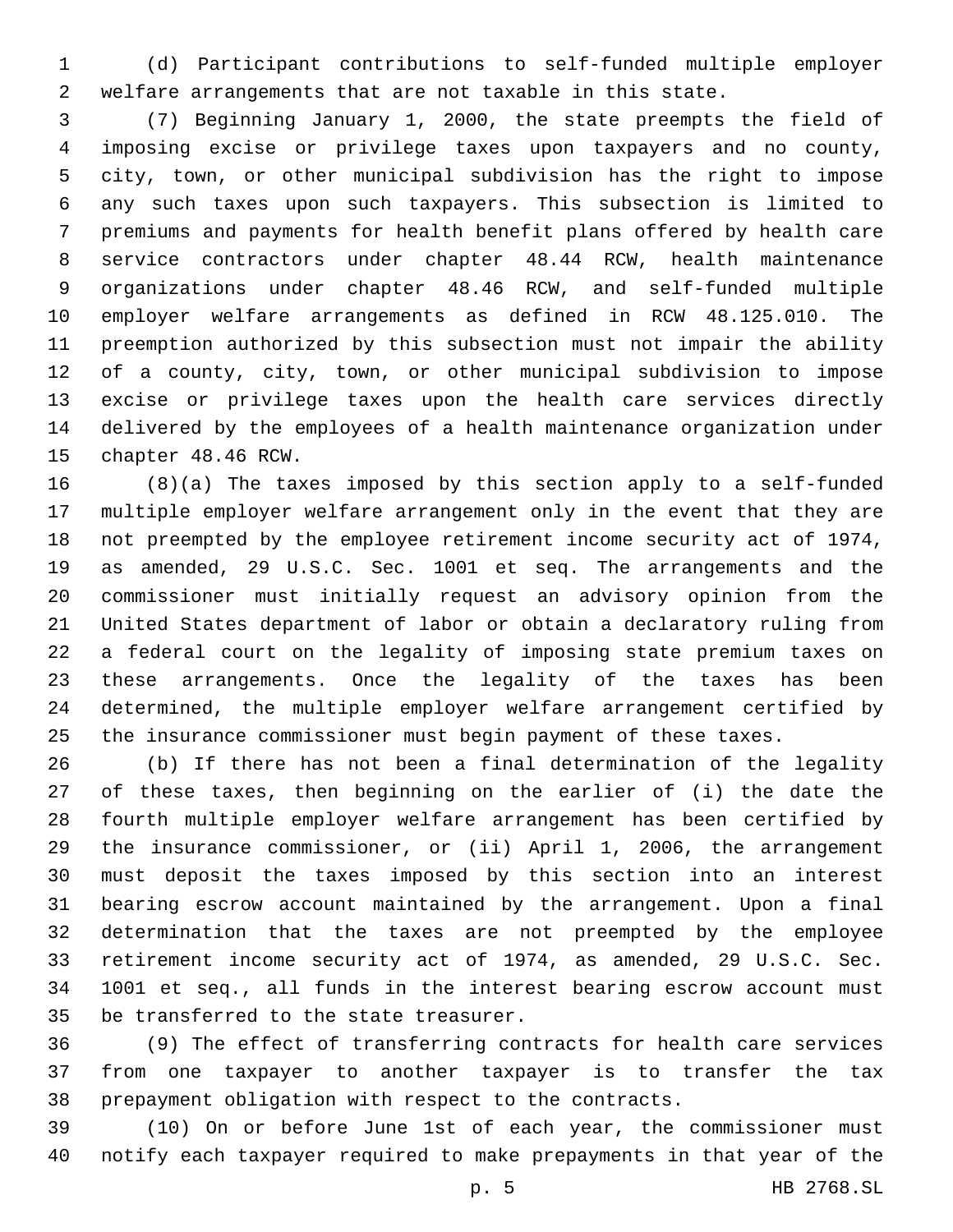(d) Participant contributions to self-funded multiple employer welfare arrangements that are not taxable in this state.

 (7) Beginning January 1, 2000, the state preempts the field of imposing excise or privilege taxes upon taxpayers and no county, city, town, or other municipal subdivision has the right to impose any such taxes upon such taxpayers. This subsection is limited to premiums and payments for health benefit plans offered by health care service contractors under chapter 48.44 RCW, health maintenance organizations under chapter 48.46 RCW, and self-funded multiple employer welfare arrangements as defined in RCW 48.125.010. The preemption authorized by this subsection must not impair the ability of a county, city, town, or other municipal subdivision to impose excise or privilege taxes upon the health care services directly delivered by the employees of a health maintenance organization under 15 chapter 48.46 RCW.

 (8)(a) The taxes imposed by this section apply to a self-funded multiple employer welfare arrangement only in the event that they are not preempted by the employee retirement income security act of 1974, as amended, 29 U.S.C. Sec. 1001 et seq. The arrangements and the commissioner must initially request an advisory opinion from the United States department of labor or obtain a declaratory ruling from a federal court on the legality of imposing state premium taxes on these arrangements. Once the legality of the taxes has been determined, the multiple employer welfare arrangement certified by the insurance commissioner must begin payment of these taxes.

 (b) If there has not been a final determination of the legality of these taxes, then beginning on the earlier of (i) the date the fourth multiple employer welfare arrangement has been certified by the insurance commissioner, or (ii) April 1, 2006, the arrangement must deposit the taxes imposed by this section into an interest bearing escrow account maintained by the arrangement. Upon a final determination that the taxes are not preempted by the employee retirement income security act of 1974, as amended, 29 U.S.C. Sec. 1001 et seq., all funds in the interest bearing escrow account must 35 be transferred to the state treasurer.

 (9) The effect of transferring contracts for health care services from one taxpayer to another taxpayer is to transfer the tax prepayment obligation with respect to the contracts.

 (10) On or before June 1st of each year, the commissioner must notify each taxpayer required to make prepayments in that year of the

p. 5 HB 2768.SL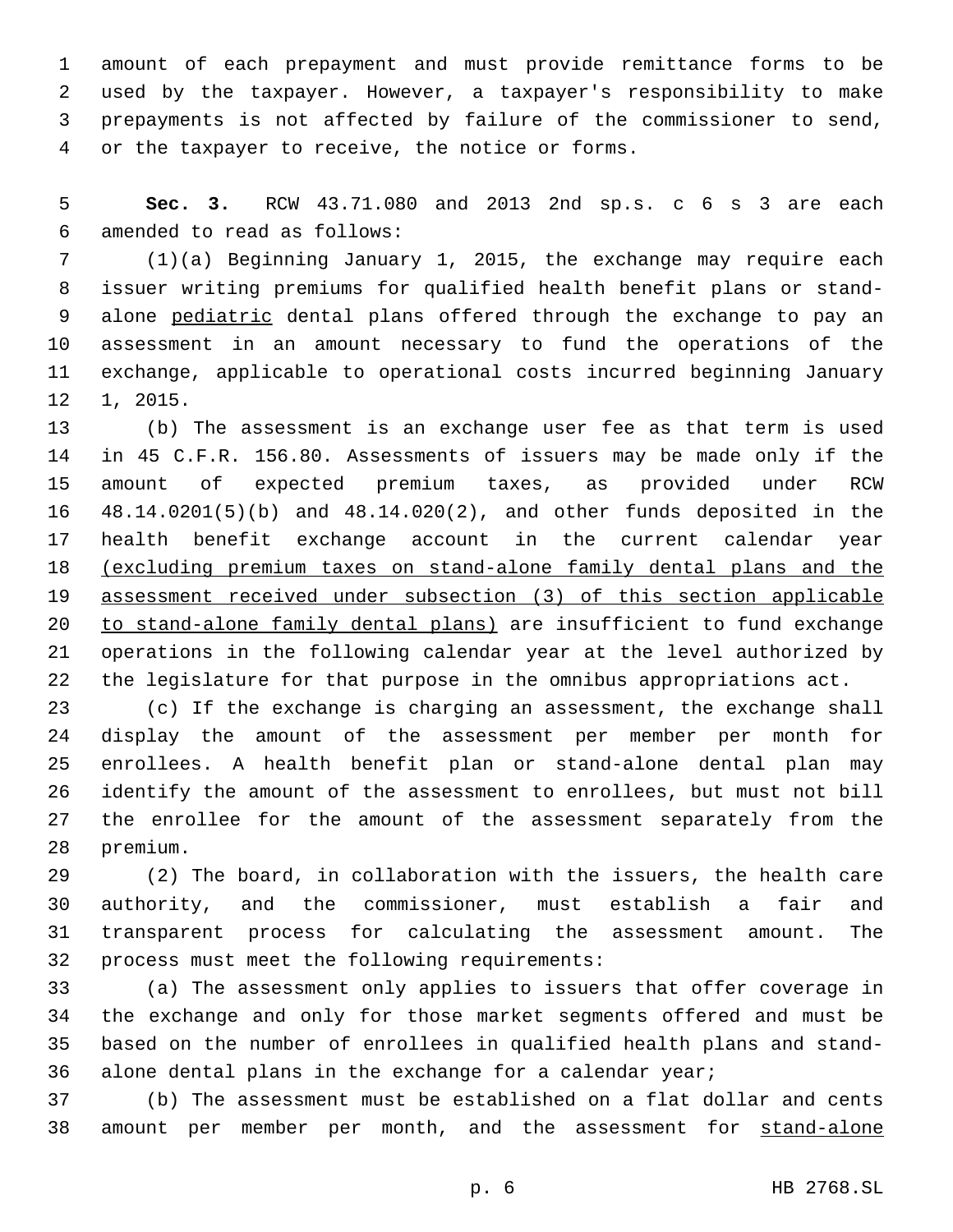amount of each prepayment and must provide remittance forms to be used by the taxpayer. However, a taxpayer's responsibility to make prepayments is not affected by failure of the commissioner to send, 4 or the taxpayer to receive, the notice or forms.

 **Sec. 3.** RCW 43.71.080 and 2013 2nd sp.s. c 6 s 3 are each amended to read as follows:6

 (1)(a) Beginning January 1, 2015, the exchange may require each issuer writing premiums for qualified health benefit plans or stand-9 alone pediatric dental plans offered through the exchange to pay an assessment in an amount necessary to fund the operations of the exchange, applicable to operational costs incurred beginning January 1, 2015.

 (b) The assessment is an exchange user fee as that term is used in 45 C.F.R. 156.80. Assessments of issuers may be made only if the amount of expected premium taxes, as provided under RCW 48.14.0201(5)(b) and 48.14.020(2), and other funds deposited in the health benefit exchange account in the current calendar year (excluding premium taxes on stand-alone family dental plans and the assessment received under subsection (3) of this section applicable to stand-alone family dental plans) are insufficient to fund exchange operations in the following calendar year at the level authorized by the legislature for that purpose in the omnibus appropriations act.

 (c) If the exchange is charging an assessment, the exchange shall display the amount of the assessment per member per month for enrollees. A health benefit plan or stand-alone dental plan may identify the amount of the assessment to enrollees, but must not bill the enrollee for the amount of the assessment separately from the 28 premium.

 (2) The board, in collaboration with the issuers, the health care authority, and the commissioner, must establish a fair and transparent process for calculating the assessment amount. The 32 process must meet the following requirements:

 (a) The assessment only applies to issuers that offer coverage in the exchange and only for those market segments offered and must be based on the number of enrollees in qualified health plans and stand-alone dental plans in the exchange for a calendar year;

 (b) The assessment must be established on a flat dollar and cents 38 amount per member per month, and the assessment for stand-alone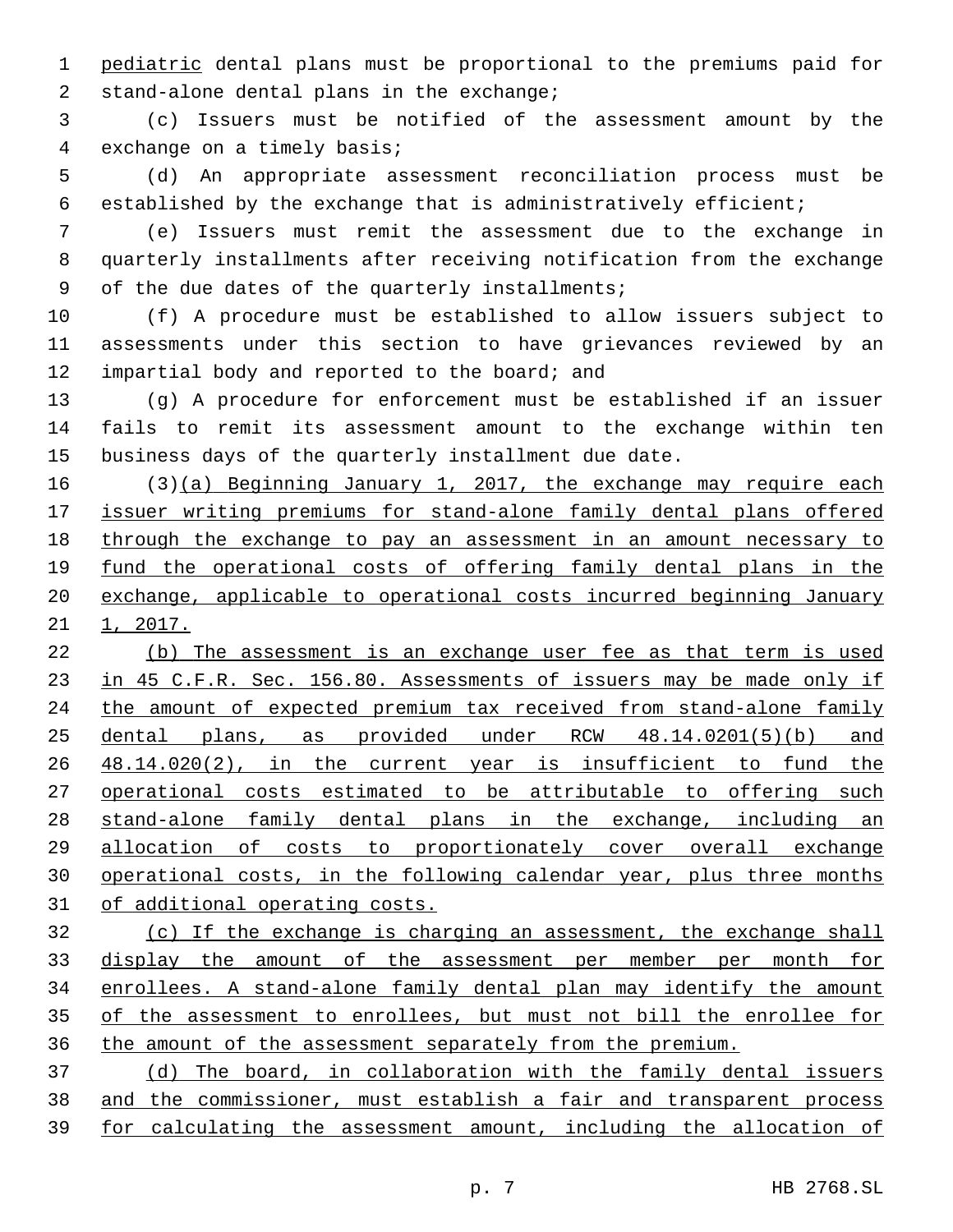pediatric dental plans must be proportional to the premiums paid for 2 stand-alone dental plans in the exchange;

 (c) Issuers must be notified of the assessment amount by the 4 exchange on a timely basis;

 (d) An appropriate assessment reconciliation process must be established by the exchange that is administratively efficient;

 (e) Issuers must remit the assessment due to the exchange in quarterly installments after receiving notification from the exchange 9 of the due dates of the quarterly installments;

 (f) A procedure must be established to allow issuers subject to assessments under this section to have grievances reviewed by an 12 impartial body and reported to the board; and

 (g) A procedure for enforcement must be established if an issuer fails to remit its assessment amount to the exchange within ten business days of the quarterly installment due date.

 (3)(a) Beginning January 1, 2017, the exchange may require each issuer writing premiums for stand-alone family dental plans offered through the exchange to pay an assessment in an amount necessary to 19 fund the operational costs of offering family dental plans in the exchange, applicable to operational costs incurred beginning January  $21 \quad 1, 2017.$ 

 (b) The assessment is an exchange user fee as that term is used 23 in 45 C.F.R. Sec. 156.80. Assessments of issuers may be made only if 24 the amount of expected premium tax received from stand-alone family dental plans, as provided under RCW 48.14.0201(5)(b) and 48.14.020(2), in the current year is insufficient to fund the operational costs estimated to be attributable to offering such stand-alone family dental plans in the exchange, including an allocation of costs to proportionately cover overall exchange operational costs, in the following calendar year, plus three months of additional operating costs.

 (c) If the exchange is charging an assessment, the exchange shall display the amount of the assessment per member per month for enrollees. A stand-alone family dental plan may identify the amount of the assessment to enrollees, but must not bill the enrollee for the amount of the assessment separately from the premium.

 (d) The board, in collaboration with the family dental issuers and the commissioner, must establish a fair and transparent process for calculating the assessment amount, including the allocation of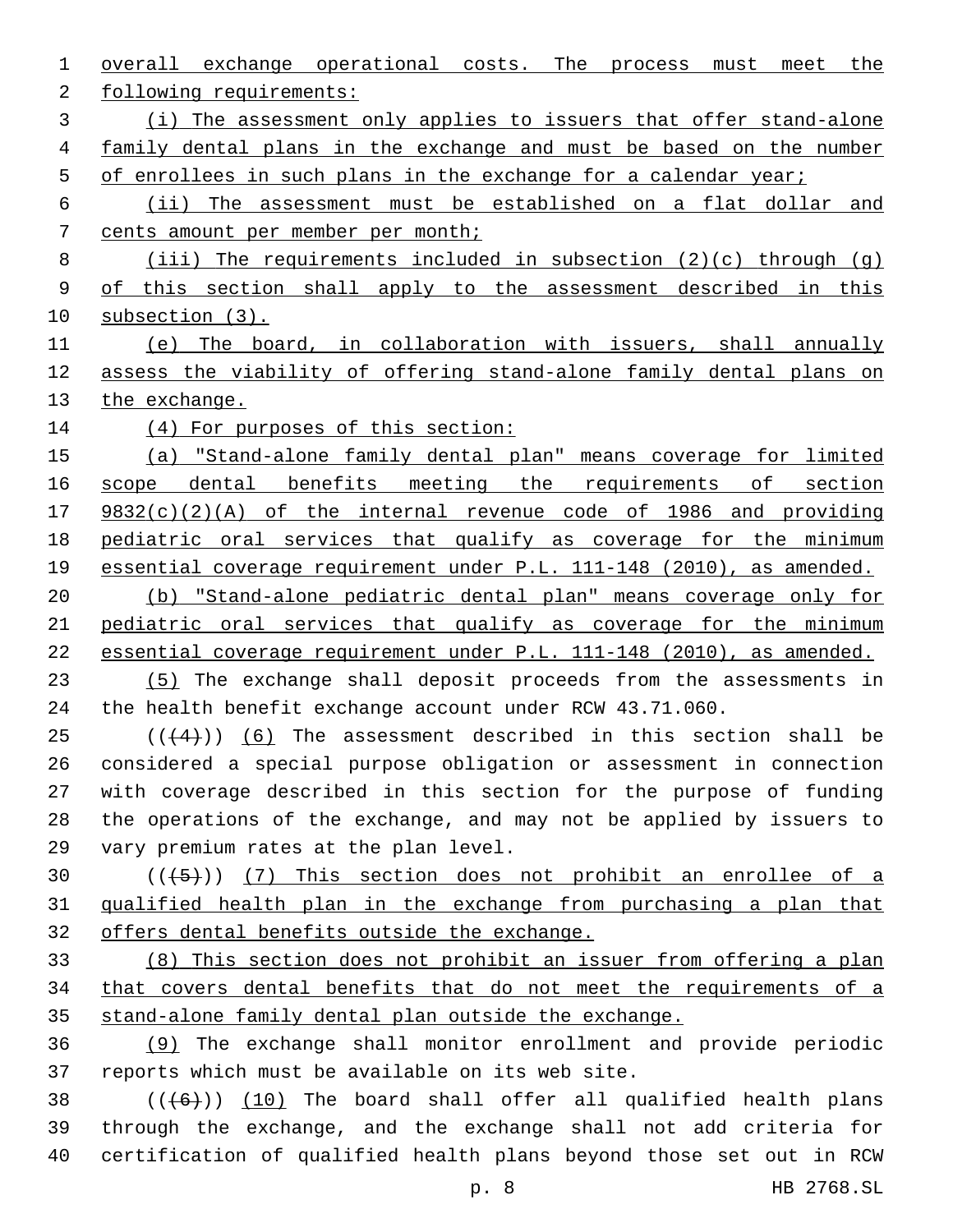overall exchange operational costs. The process must meet the 2 following requirements: (i) The assessment only applies to issuers that offer stand-alone 4 family dental plans in the exchange and must be based on the number 5 of enrollees in such plans in the exchange for a calendar year; (ii) The assessment must be established on a flat dollar and cents amount per member per month; (iii) The requirements included in subsection (2)(c) through (g) of this section shall apply to the assessment described in this subsection (3). (e) The board, in collaboration with issuers, shall annually assess the viability of offering stand-alone family dental plans on 13 the exchange. 14 (4) For purposes of this section: (a) "Stand-alone family dental plan" means coverage for limited 16 scope dental benefits meeting the requirements of section 9832(c)(2)(A) of the internal revenue code of 1986 and providing pediatric oral services that qualify as coverage for the minimum 19 essential coverage requirement under P.L. 111-148 (2010), as amended. (b) "Stand-alone pediatric dental plan" means coverage only for pediatric oral services that qualify as coverage for the minimum essential coverage requirement under P.L. 111-148 (2010), as amended. (5) The exchange shall deposit proceeds from the assessments in the health benefit exchange account under RCW 43.71.060. (( $(4)$ )) (6) The assessment described in this section shall be considered a special purpose obligation or assessment in connection with coverage described in this section for the purpose of funding the operations of the exchange, and may not be applied by issuers to 29 vary premium rates at the plan level.  $((+5+))$  (7) This section does not prohibit an enrollee of a 31 qualified health plan in the exchange from purchasing a plan that offers dental benefits outside the exchange. (8) This section does not prohibit an issuer from offering a plan that covers dental benefits that do not meet the requirements of a stand-alone family dental plan outside the exchange. (9) The exchange shall monitor enrollment and provide periodic 37 reports which must be available on its web site.  $((+6))$   $(10)$  The board shall offer all qualified health plans through the exchange, and the exchange shall not add criteria for

p. 8 HB 2768.SL

certification of qualified health plans beyond those set out in RCW